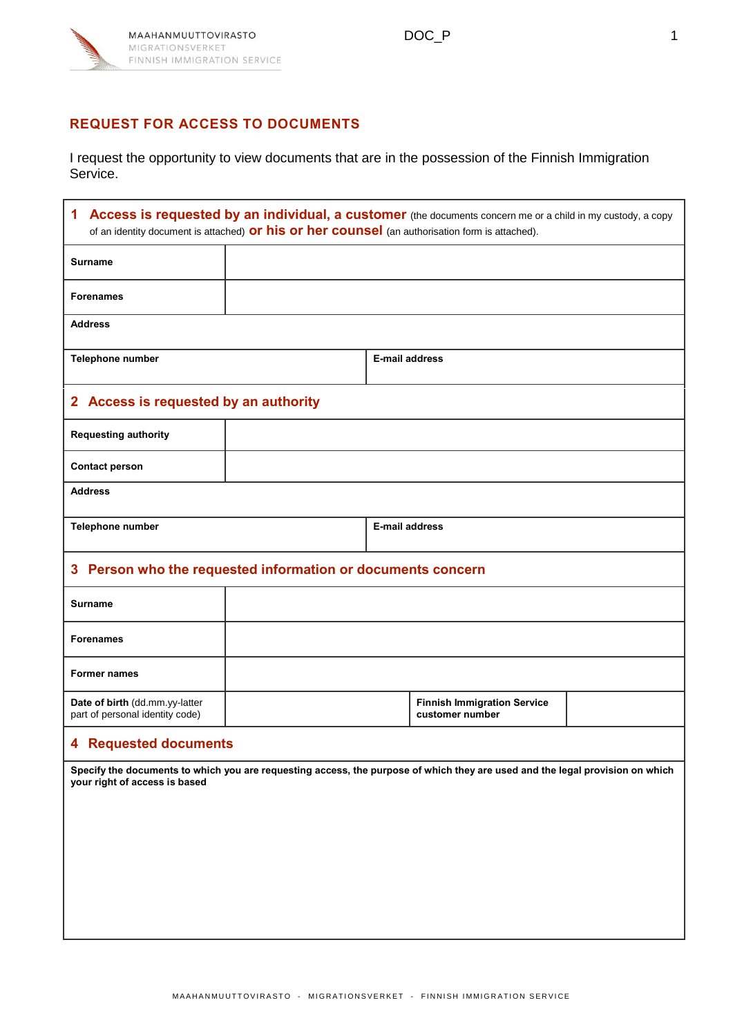

## **REQUEST FOR ACCESS TO DOCUMENTS**

I request the opportunity to view documents that are in the possession of the Finnish Immigration Service.

| Access is requested by an individual, a customer (the documents concern me or a child in my custody, a copy<br>1<br>of an identity document is attached) or his or her counsel (an authorisation form is attached). |  |                       |                                                       |  |
|---------------------------------------------------------------------------------------------------------------------------------------------------------------------------------------------------------------------|--|-----------------------|-------------------------------------------------------|--|
| <b>Surname</b>                                                                                                                                                                                                      |  |                       |                                                       |  |
| <b>Forenames</b>                                                                                                                                                                                                    |  |                       |                                                       |  |
| <b>Address</b>                                                                                                                                                                                                      |  |                       |                                                       |  |
| <b>Telephone number</b>                                                                                                                                                                                             |  | <b>E-mail address</b> |                                                       |  |
| 2 Access is requested by an authority                                                                                                                                                                               |  |                       |                                                       |  |
| <b>Requesting authority</b>                                                                                                                                                                                         |  |                       |                                                       |  |
| <b>Contact person</b>                                                                                                                                                                                               |  |                       |                                                       |  |
| <b>Address</b>                                                                                                                                                                                                      |  |                       |                                                       |  |
| Telephone number                                                                                                                                                                                                    |  | E-mail address        |                                                       |  |
| 3 Person who the requested information or documents concern                                                                                                                                                         |  |                       |                                                       |  |
| <b>Surname</b>                                                                                                                                                                                                      |  |                       |                                                       |  |
| <b>Forenames</b>                                                                                                                                                                                                    |  |                       |                                                       |  |
| <b>Former names</b>                                                                                                                                                                                                 |  |                       |                                                       |  |
| Date of birth (dd.mm.yy-latter<br>part of personal identity code)                                                                                                                                                   |  |                       | <b>Finnish Immigration Service</b><br>customer number |  |
| <b>4 Requested documents</b>                                                                                                                                                                                        |  |                       |                                                       |  |
| Specify the documents to which you are requesting access, the purpose of which they are used and the legal provision on which<br>your right of access is based                                                      |  |                       |                                                       |  |
|                                                                                                                                                                                                                     |  |                       |                                                       |  |
|                                                                                                                                                                                                                     |  |                       |                                                       |  |
|                                                                                                                                                                                                                     |  |                       |                                                       |  |
|                                                                                                                                                                                                                     |  |                       |                                                       |  |
|                                                                                                                                                                                                                     |  |                       |                                                       |  |